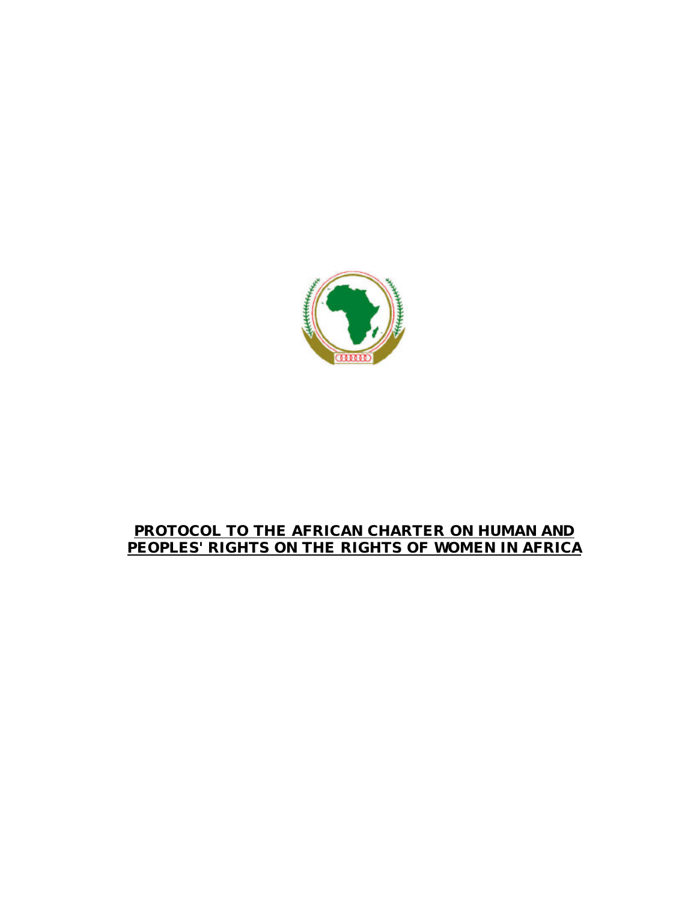

# **PROTOCOL TO THE AFRICAN CHARTER ON HUMAN AND PEOPLES' RIGHTS ON THE RIGHTS OF WOMEN IN AFRICA**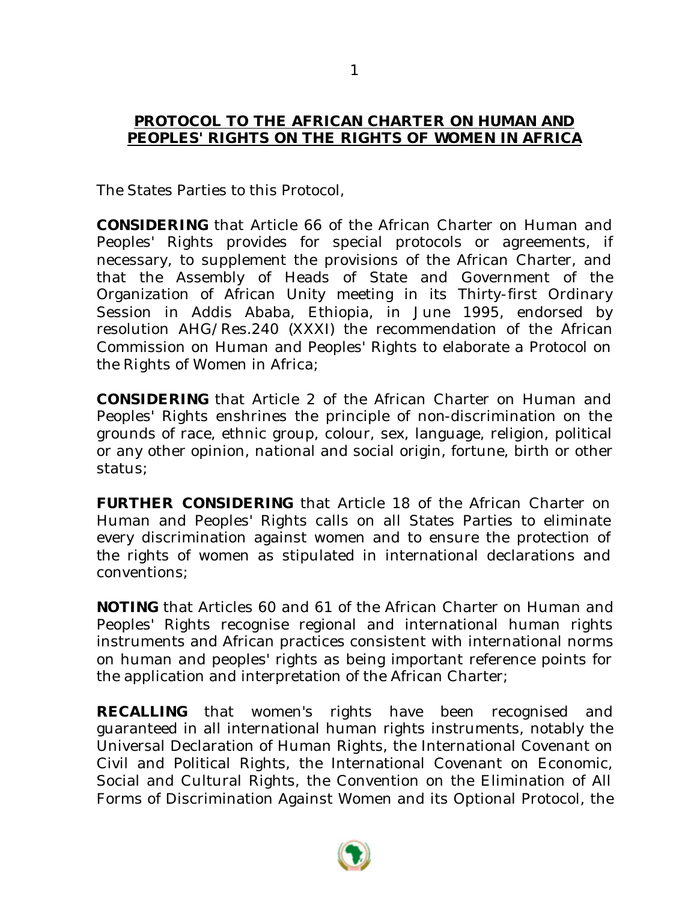### **PROTOCOL TO THE AFRICAN CHARTER ON HUMAN AND PEOPLES' RIGHTS ON THE RIGHTS OF WOMEN IN AFRICA**

The States Parties to this Protocol,

**CONSIDERING** that Article 66 of the African Charter on Human and Peoples' Rights provides for special protocols or agreements, if necessary, to supplement the provisions of the African Charter, and that the Assembly of Heads of State and Government of the Organization of African Unity meeting in its Thirty-first Ordinary Session in Addis Ababa, Ethiopia, in June 1995, endorsed by resolution AHG/Res.240 (XXXI) the recommendation of the African Commission on Human and Peoples' Rights to elaborate a Protocol on the Rights of Women in Africa;

**CONSIDERING** that Article 2 of the African Charter on Human and Peoples' Rights enshrines the principle of non-discrimination on the grounds of race, ethnic group, colour, sex, language, religion, political or any other opinion, national and social origin, fortune, birth or other status;

**FURTHER CONSIDERING** that Article 18 of the African Charter on Human and Peoples' Rights calls on all States Parties to eliminate every discrimination against women and to ensure the protection of the rights of women as stipulated in international declarations and conventions;

**NOTING** that Articles 60 and 61 of the African Charter on Human and Peoples' Rights recognise regional and international human rights instruments and African practices consistent with international norms on human and peoples' rights as being important reference points for the application and interpretation of the African Charter;

**RECALLING** that women's rights have been recognised and guaranteed in all international human rights instruments, notably the Universal Declaration of Human Rights, the International Covenant on Civil and Political Rights, the International Covenant on Economic, Social and Cultural Rights, the Convention on the Elimination of All Forms of Discrimination Against Women and its Optional Protocol, the

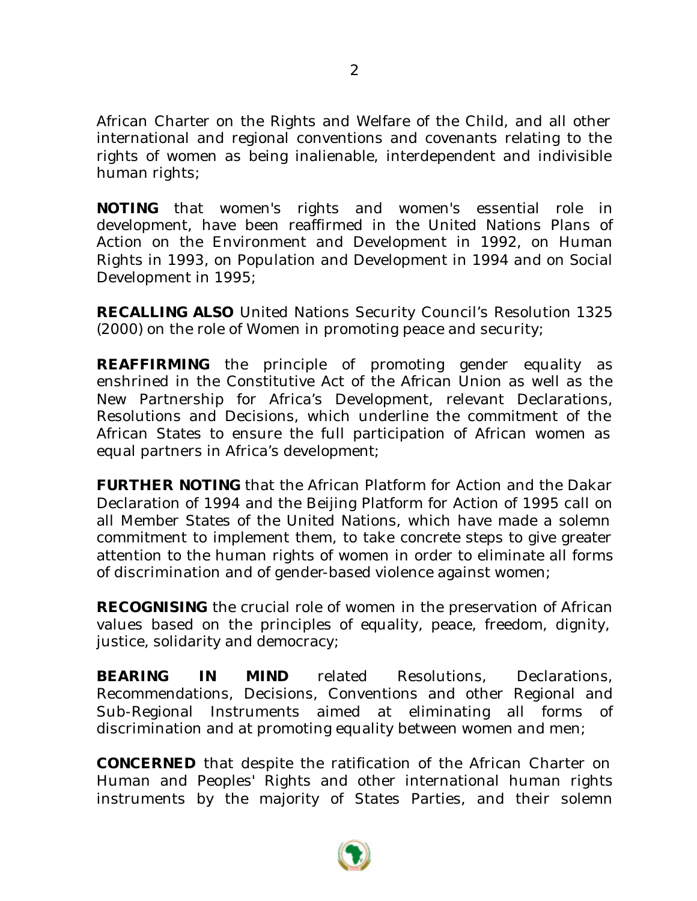African Charter on the Rights and Welfare of the Child, and all other international and regional conventions and covenants relating to the rights of women as being inalienable, interdependent and indivisible human rights;

**NOTING** that women's rights and women's essential role in development, have been reaffirmed in the United Nations Plans of Action on the Environment and Development in 1992, on Human Rights in 1993, on Population and Development in 1994 and on Social Development in 1995;

**RECALLING ALSO** United Nations Security Council's Resolution 1325 (2000) on the role of Women in promoting peace and security;

**REAFFIRMING** the principle of promoting gender equality as enshrined in the Constitutive Act of the African Union as well as the New Partnership for Africa's Development, relevant Declarations, Resolutions and Decisions, which underline the commitment of the African States to ensure the full participation of African women as equal partners in Africa's development;

**FURTHER NOTING** that the African Platform for Action and the Dakar Declaration of 1994 and the Beijing Platform for Action of 1995 call on all Member States of the United Nations, which have made a solemn commitment to implement them, to take concrete steps to give greater attention to the human rights of women in order to eliminate all forms of discrimination and of gender-based violence against women;

**RECOGNISING** the crucial role of women in the preservation of African values based on the principles of equality, peace, freedom, dignity, justice, solidarity and democracy;

**BEARING IN MIND** related Resolutions, Declarations, Recommendations, Decisions, Conventions and other Regional and Sub-Regional Instruments aimed at eliminating all forms of discrimination and at promoting equality between women and men;

**CONCERNED** that despite the ratification of the African Charter on Human and Peoples' Rights and other international human rights instruments by the majority of States Parties, and their solemn

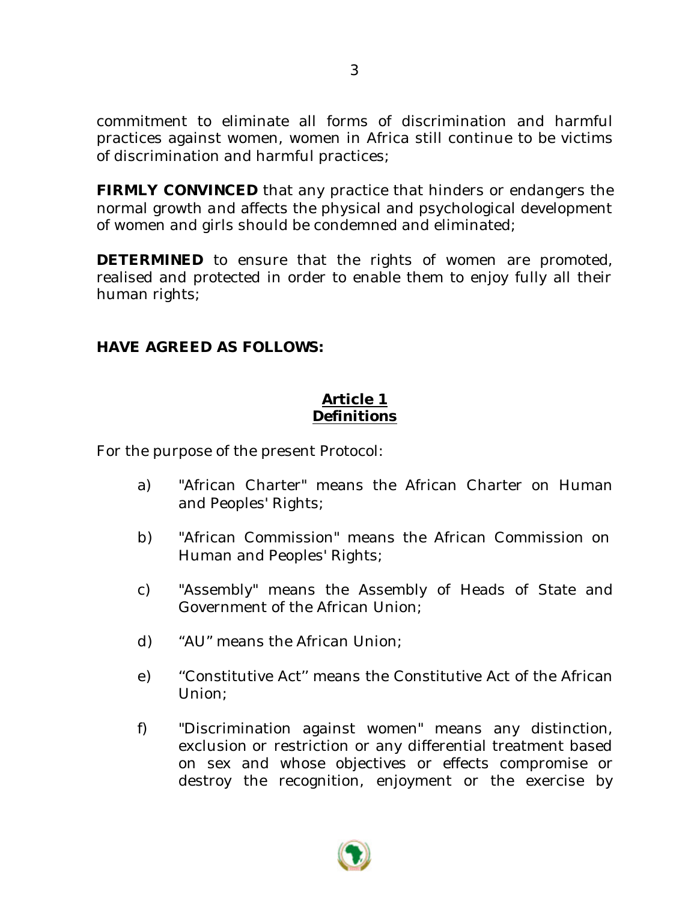commitment to eliminate all forms of discrimination and harmful practices against women, women in Africa still continue to be victims of discrimination and harmful practices;

**FIRMLY CONVINCED** that any practice that hinders or endangers the normal growth and affects the physical and psychological development of women and girls should be condemned and eliminated;

**DETERMINED** to ensure that the rights of women are promoted, realised and protected in order to enable them to enjoy fully all their human rights;

### **HAVE AGREED AS FOLLOWS:**

# **Article 1 Definitions**

For the purpose of the present Protocol:

- a) "African Charter" means the African Charter on Human and Peoples' Rights;
- b) "African Commission" means the African Commission on Human and Peoples' Rights;
- c) "Assembly" means the Assembly of Heads of State and Government of the African Union;
- d) "AU" means the African Union;
- e) ''Constitutive Act'' means the Constitutive Act of the African Union;
- f) "Discrimination against women" means any distinction, exclusion or restriction or any differential treatment based on sex and whose objectives or effects compromise or destroy the recognition, enjoyment or the exercise by

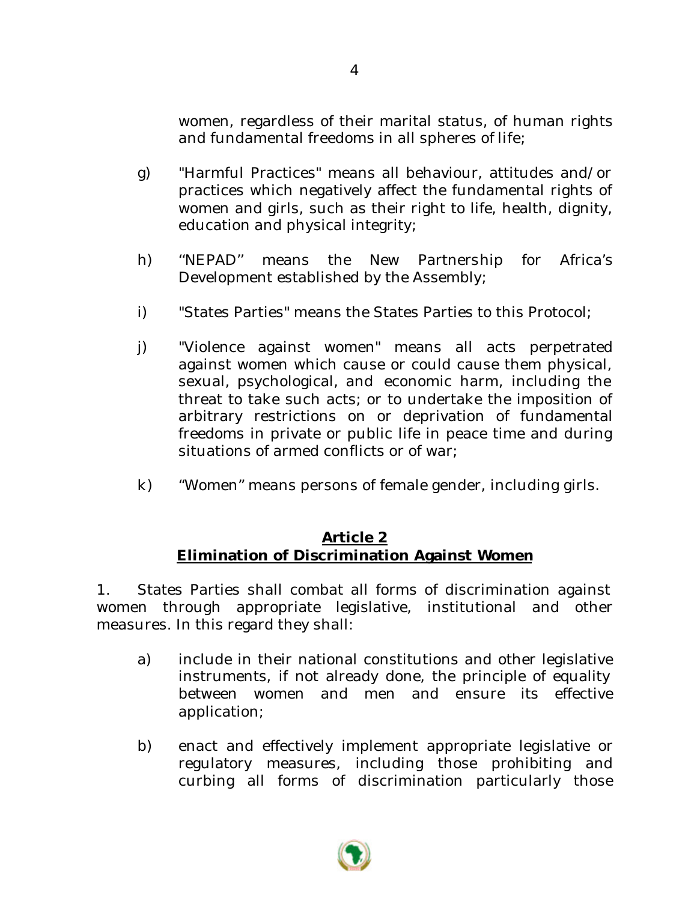women, regardless of their marital status, of human rights and fundamental freedoms in all spheres of life;

- g) "Harmful Practices" means all behaviour, attitudes and/or practices which negatively affect the fundamental rights of women and girls, such as their right to life, health, dignity, education and physical integrity;
- h) ''NEPAD'' means the New Partnership for Africa's Development established by the Assembly;
- i) "States Parties" means the States Parties to this Protocol;
- j) "Violence against women" means all acts perpetrated against women which cause or could cause them physical, sexual, psychological, and economic harm, including the threat to take such acts; or to undertake the imposition of arbitrary restrictions on or deprivation of fundamental freedoms in private or public life in peace time and during situations of armed conflicts or of war;
- k) "Women" means persons of female gender, including girls.

# **Article 2 Elimination of Discrimination Against Women**

1. States Parties shall combat all forms of discrimination against women through appropriate legislative, institutional and other measures. In this regard they shall:

- a) include in their national constitutions and other legislative instruments, if not already done, the principle of equality between women and men and ensure its effective application;
- b) enact and effectively implement appropriate legislative or regulatory measures, including those prohibiting and curbing all forms of discrimination particularly those

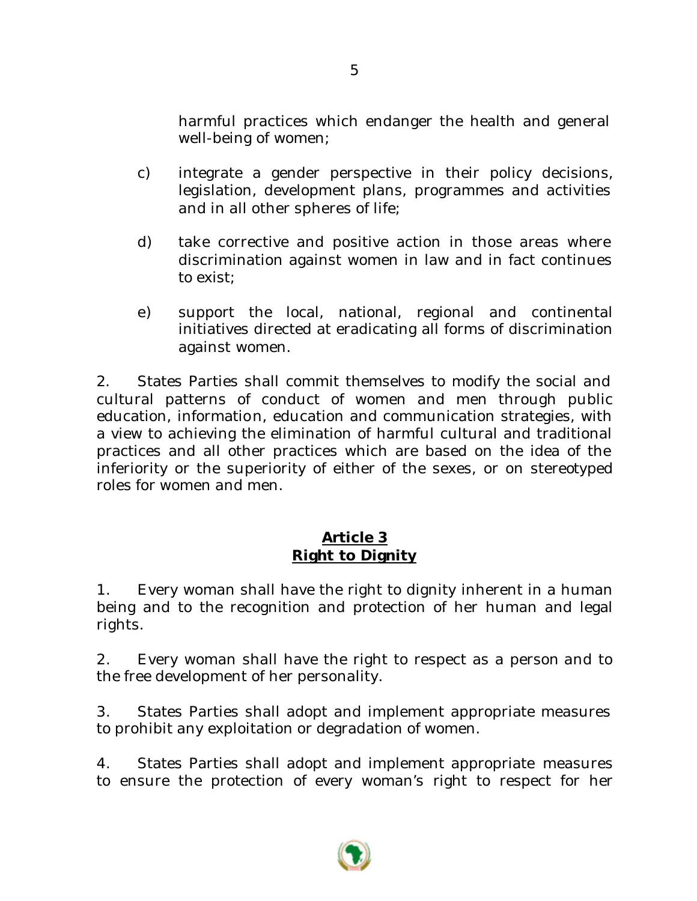harmful practices which endanger the health and general well-being of women;

- c) integrate a gender perspective in their policy decisions, legislation, development plans, programmes and activities and in all other spheres of life;
- d) take corrective and positive action in those areas where discrimination against women in law and in fact continues to exist;
- e) support the local, national, regional and continental initiatives directed at eradicating all forms of discrimination against women.

2. States Parties shall commit themselves to modify the social and cultural patterns of conduct of women and men through public education, information, education and communication strategies, with a view to achieving the elimination of harmful cultural and traditional practices and all other practices which are based on the idea of the inferiority or the superiority of either of the sexes, or on stereotyped roles for women and men.

# **Article 3 Right to Dignity**

1. Every woman shall have the right to dignity inherent in a human being and to the recognition and protection of her human and legal rights.

2. Every woman shall have the right to respect as a person and to the free development of her personality.

3. States Parties shall adopt and implement appropriate measures to prohibit any exploitation or degradation of women.

4. States Parties shall adopt and implement appropriate measures to ensure the protection of every woman's right to respect for her

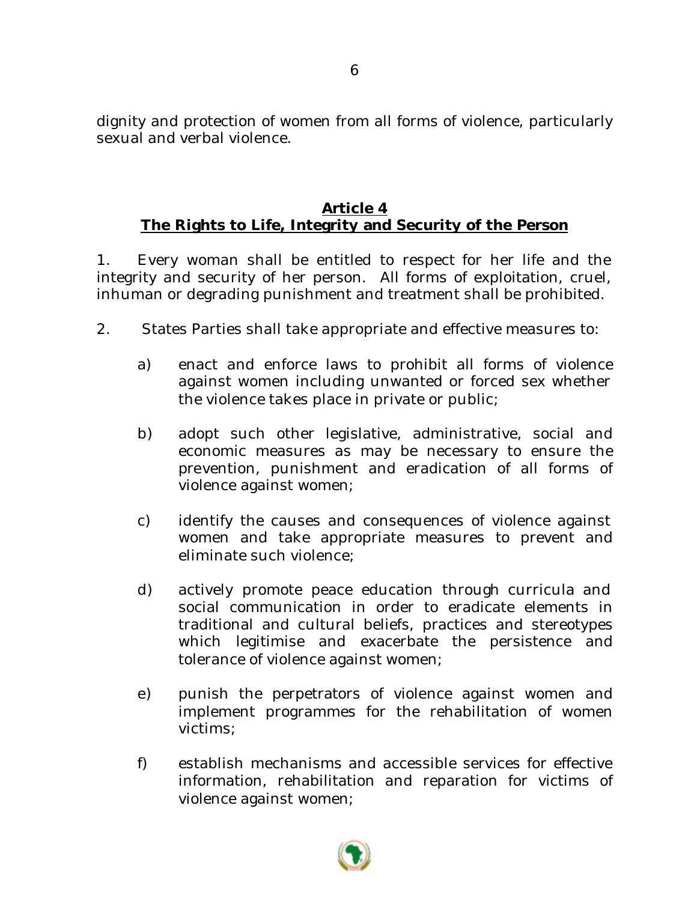dignity and protection of women from all forms of violence, particularly sexual and verbal violence.

# **Article 4 The Rights to Life, Integrity and Security of the Person**

1. Every woman shall be entitled to respect for her life and the integrity and security of her person. All forms of exploitation, cruel, inhuman or degrading punishment and treatment shall be prohibited.

- 2. States Parties shall take appropriate and effective measures to:
	- a) enact and enforce laws to prohibit all forms of violence against women including unwanted or forced sex whether the violence takes place in private or public;
	- b) adopt such other legislative, administrative, social and economic measures as may be necessary to ensure the prevention, punishment and eradication of all forms of violence against women;
	- c) identify the causes and consequences of violence against women and take appropriate measures to prevent and eliminate such violence;
	- d) actively promote peace education through curricula and social communication in order to eradicate elements in traditional and cultural beliefs, practices and stereotypes which legitimise and exacerbate the persistence and tolerance of violence against women;
	- e) punish the perpetrators of violence against women and implement programmes for the rehabilitation of women victims;
	- f) establish mechanisms and accessible services for effective information, rehabilitation and reparation for victims of violence against women;

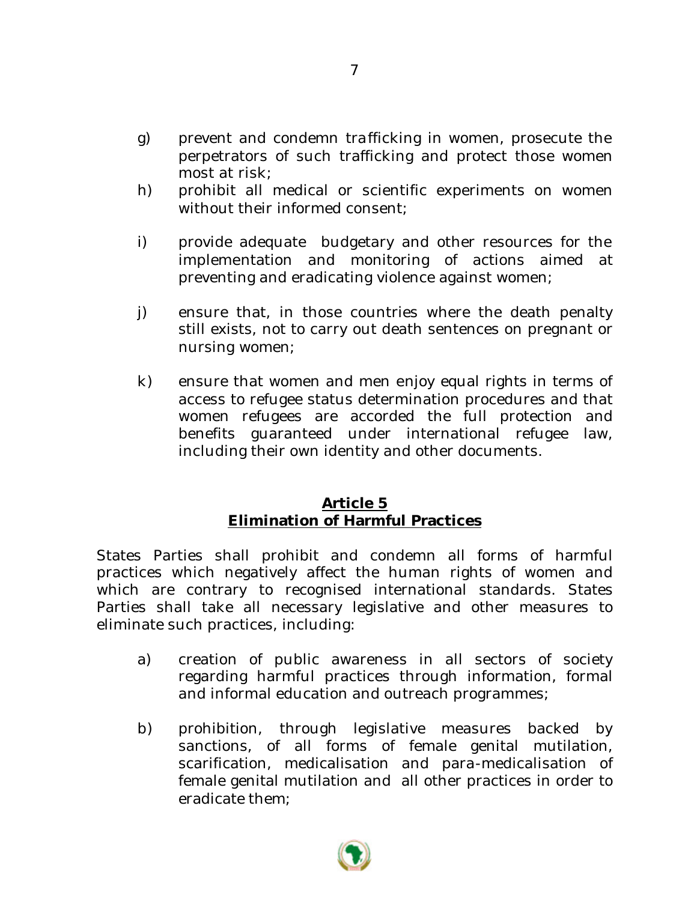- g) prevent and condemn trafficking in women, prosecute the perpetrators of such trafficking and protect those women most at risk;
- h) prohibit all medical or scientific experiments on women without their informed consent;
- i) provide adequate budgetary and other resources for the implementation and monitoring of actions aimed at preventing and eradicating violence against women;
- j) ensure that, in those countries where the death penalty still exists, not to carry out death sentences on pregnant or nursing women;
- k) ensure that women and men enjoy equal rights in terms of access to refugee status determination procedures and that women refugees are accorded the full protection and benefits guaranteed under international refugee law, including their own identity and other documents.

### **Article 5 Elimination of Harmful Practices**

States Parties shall prohibit and condemn all forms of harmful practices which negatively affect the human rights of women and which are contrary to recognised international standards. States Parties shall take all necessary legislative and other measures to eliminate such practices, including:

- a) creation of public awareness in all sectors of society regarding harmful practices through information, formal and informal education and outreach programmes;
- b) prohibition, through legislative measures backed by sanctions, of all forms of female genital mutilation, scarification, medicalisation and para-medicalisation of female genital mutilation and all other practices in order to eradicate them;



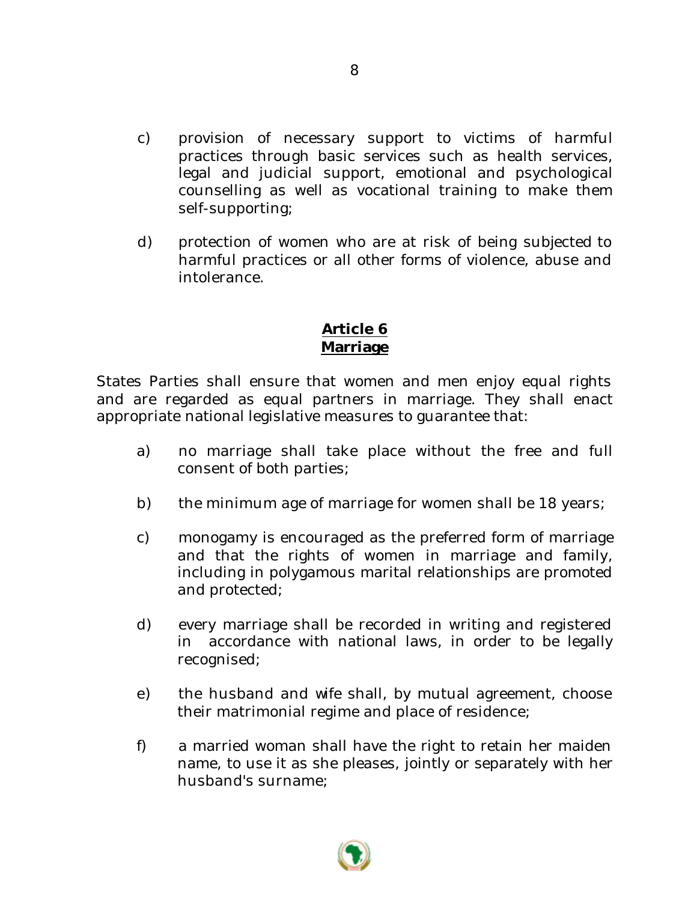- c) provision of necessary support to victims of harmful practices through basic services such as health services, legal and judicial support, emotional and psychological counselling as well as vocational training to make them self-supporting;
- d) protection of women who are at risk of being subjected to harmful practices or all other forms of violence, abuse and intolerance.

# **Article 6 Marriage**

States Parties shall ensure that women and men enjoy equal rights and are regarded as equal partners in marriage. They shall enact appropriate national legislative measures to guarantee that:

- a) no marriage shall take place without the free and full consent of both parties;
- b) the minimum age of marriage for women shall be 18 years;
- c) monogamy is encouraged as the preferred form of marriage and that the rights of women in marriage and family, including in polygamous marital relationships are promoted and protected;
- d) every marriage shall be recorded in writing and registered in accordance with national laws, in order to be legally recognised;
- e) the husband and wife shall, by mutual agreement, choose their matrimonial regime and place of residence;
- f) a married woman shall have the right to retain her maiden name, to use it as she pleases, jointly or separately with her husband's surname;

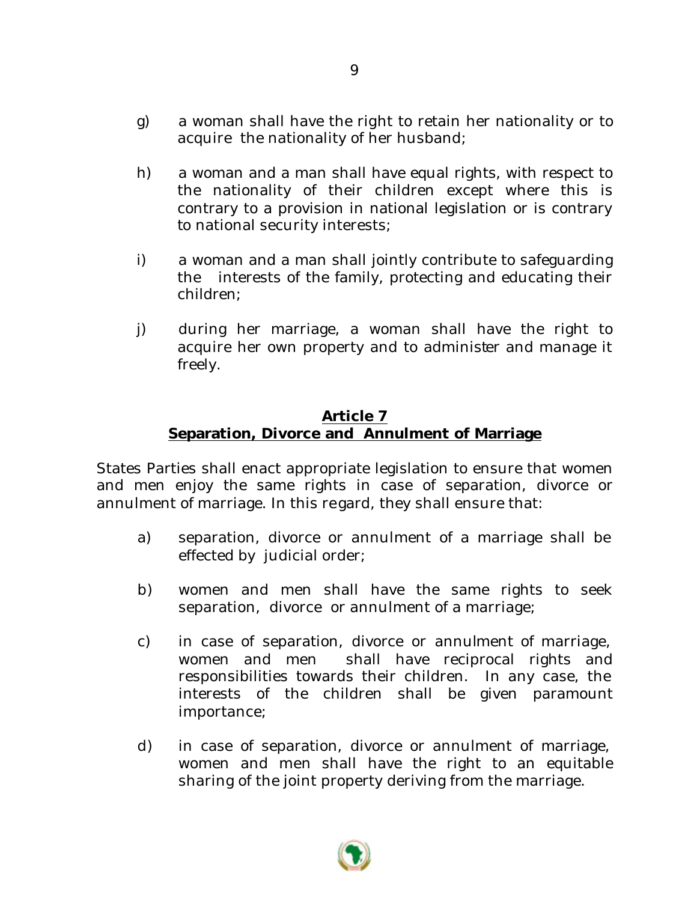- g) a woman shall have the right to retain her nationality or to acquire the nationality of her husband;
- h) a woman and a man shall have equal rights, with respect to the nationality of their children except where this is contrary to a provision in national legislation or is contrary to national security interests;
- i) a woman and a man shall jointly contribute to safeguarding the interests of the family, protecting and educating their children;
- j) during her marriage, a woman shall have the right to acquire her own property and to administer and manage it freely.

### **Article 7 Separation, Divorce and Annulment of Marriage**

States Parties shall enact appropriate legislation to ensure that women and men enjoy the same rights in case of separation, divorce or annulment of marriage. In this regard, they shall ensure that:

- a) separation, divorce or annulment of a marriage shall be effected by judicial order;
- b) women and men shall have the same rights to seek separation, divorce or annulment of a marriage;
- c) in case of separation, divorce or annulment of marriage, women and men shall have reciprocal rights and responsibilities towards their children. In any case, the interests of the children shall be given paramount importance;
- d) in case of separation, divorce or annulment of marriage, women and men shall have the right to an equitable sharing of the joint property deriving from the marriage.

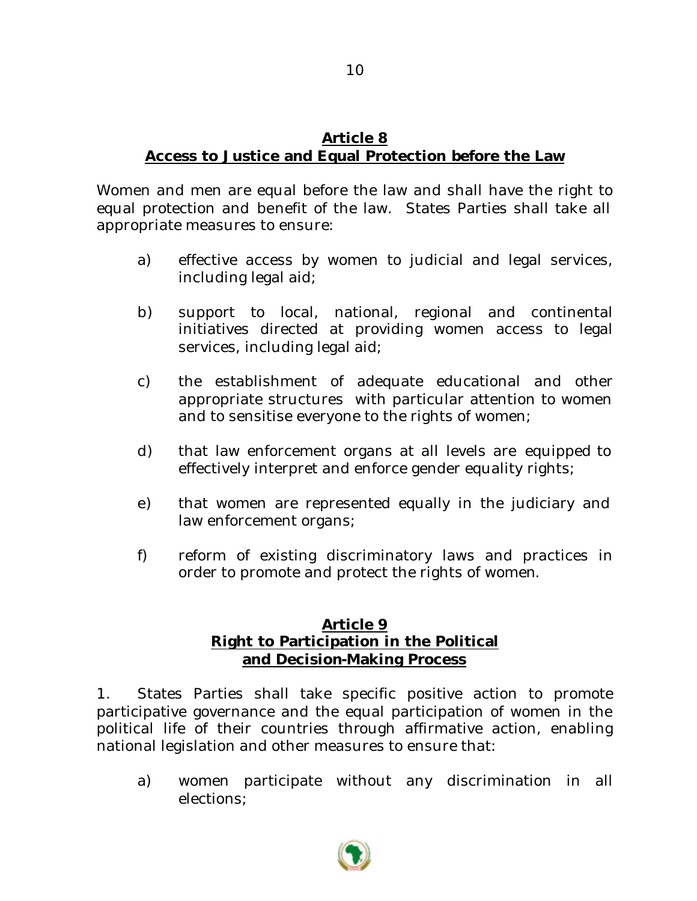# **Article 8 Access to Justice and Equal Protection before the Law**

Women and men are equal before the law and shall have the right to equal protection and benefit of the law. States Parties shall take all appropriate measures to ensure:

- a) effective access by women to judicial and legal services, including legal aid;
- b) support to local, national, regional and continental initiatives directed at providing women access to legal services, including legal aid;
- c) the establishment of adequate educational and other appropriate structures with particular attention to women and to sensitise everyone to the rights of women;
- d) that law enforcement organs at all levels are equipped to effectively interpret and enforce gender equality rights;
- e) that women are represented equally in the judiciary and law enforcement organs;
- f) reform of existing discriminatory laws and practices in order to promote and protect the rights of women.

# **Article 9 Right to Participation in the Political and Decision-Making Process**

1. States Parties shall take specific positive action to promote participative governance and the equal participation of women in the political life of their countries through affirmative action, enabling national legislation and other measures to ensure that:

a) women participate without any discrimination in all elections;

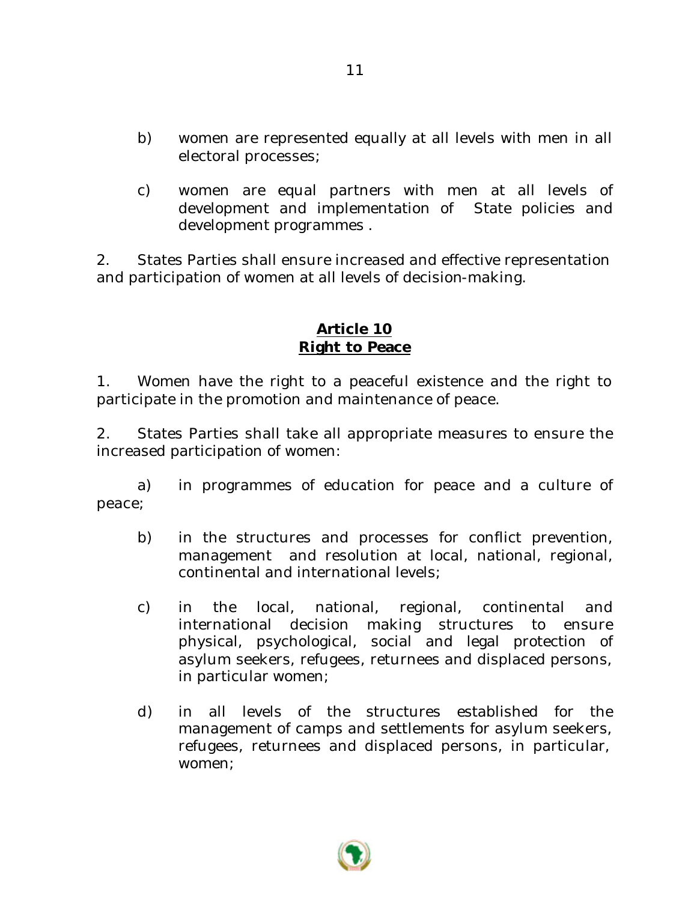- b) women are represented equally at all levels with men in all electoral processes;
- c) women are equal partners with men at all levels of development and implementation of State policies and development programmes .

2. States Parties shall ensure increased and effective representation and participation of women at all levels of decision-making.

# **Article 10 Right to Peace**

1. Women have the right to a peaceful existence and the right to participate in the promotion and maintenance of peace.

2. States Parties shall take all appropriate measures to ensure the increased participation of women:

a) in programmes of education for peace and a culture of peace;

- b) in the structures and processes for conflict prevention, management and resolution at local, national, regional, continental and international levels;
- c) in the local, national, regional, continental and international decision making structures to ensure physical, psychological, social and legal protection of asylum seekers, refugees, returnees and displaced persons, in particular women;
- d) in all levels of the structures established for the management of camps and settlements for asylum seekers, refugees, returnees and displaced persons, in particular, women;

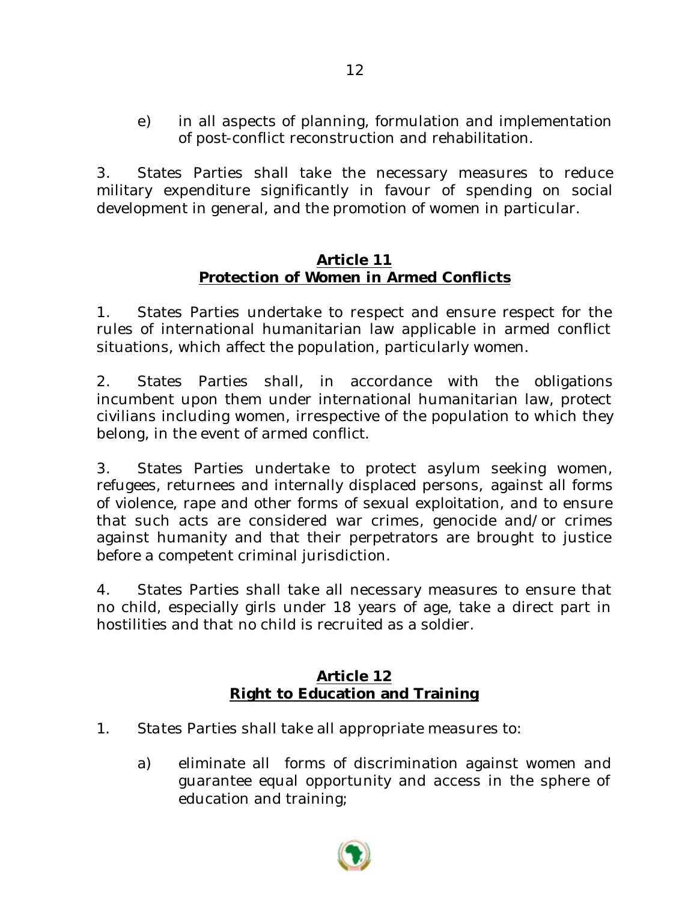e) in all aspects of planning, formulation and implementation of post-conflict reconstruction and rehabilitation.

3. States Parties shall take the necessary measures to reduce military expenditure significantly in favour of spending on social development in general, and the promotion of women in particular.

### **Article 11 Protection of Women in Armed Conflicts**

1. States Parties undertake to respect and ensure respect for the rules of international humanitarian law applicable in armed conflict situations, which affect the population, particularly women.

2. States Parties shall, in accordance with the obligations incumbent upon them under international humanitarian law, protect civilians including women, irrespective of the population to which they belong, in the event of armed conflict.

3. States Parties undertake to protect asylum seeking women, refugees, returnees and internally displaced persons, against all forms of violence, rape and other forms of sexual exploitation, and to ensure that such acts are considered war crimes, genocide and/or crimes against humanity and that their perpetrators are brought to justice before a competent criminal jurisdiction.

4. States Parties shall take all necessary measures to ensure that no child, especially girls under 18 years of age, take a direct part in hostilities and that no child is recruited as a soldier.

# **Article 12 Right to Education and Training**

- 1. States Parties shall take all appropriate measures to:
	- a) eliminate all forms of discrimination against women and guarantee equal opportunity and access in the sphere of education and training;

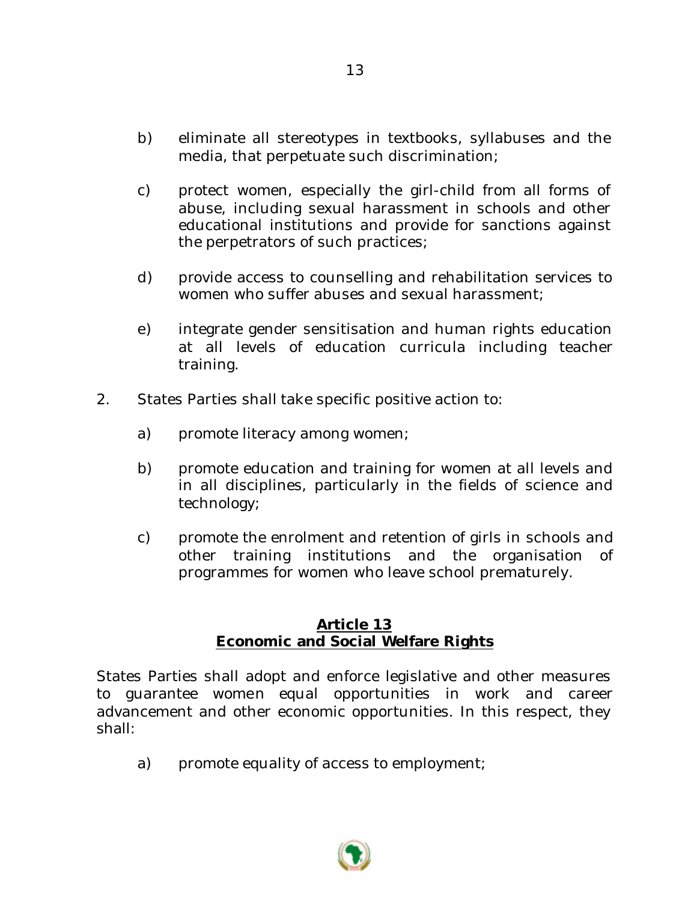- b) eliminate all stereotypes in textbooks, syllabuses and the media, that perpetuate such discrimination;
- c) protect women, especially the girl-child from all forms of abuse, including sexual harassment in schools and other educational institutions and provide for sanctions against the perpetrators of such practices;
- d) provide access to counselling and rehabilitation services to women who suffer abuses and sexual harassment;
- e) integrate gender sensitisation and human rights education at all levels of education curricula including teacher training.
- 2. States Parties shall take specific positive action to:
	- a) promote literacy among women;
	- b) promote education and training for women at all levels and in all disciplines, particularly in the fields of science and technology;
	- c) promote the enrolment and retention of girls in schools and other training institutions and the organisation of programmes for women who leave school prematurely.

### **Article 13 Economic and Social Welfare Rights**

States Parties shall adopt and enforce legislative and other measures to guarantee women equal opportunities in work and career advancement and other economic opportunities. In this respect, they shall:

a) promote equality of access to employment;

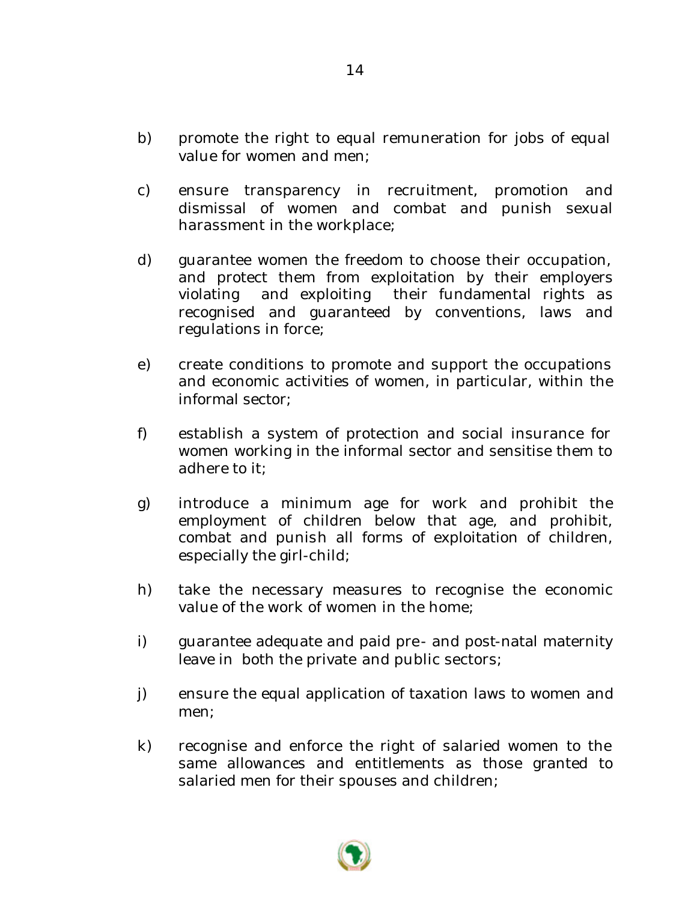- b) promote the right to equal remuneration for jobs of equal value for women and men;
- c) ensure transparency in recruitment, promotion and dismissal of women and combat and punish sexual harassment in the workplace;
- d) guarantee women the freedom to choose their occupation, and protect them from exploitation by their employers violating and exploiting their fundamental rights as recognised and guaranteed by conventions, laws and regulations in force;
- e) create conditions to promote and support the occupations and economic activities of women, in particular, within the informal sector;
- f) establish a system of protection and social insurance for women working in the informal sector and sensitise them to adhere to it;
- g) introduce a minimum age for work and prohibit the employment of children below that age, and prohibit, combat and punish all forms of exploitation of children, especially the girl-child;
- h) take the necessary measures to recognise the economic value of the work of women in the home;
- i) guarantee adequate and paid pre- and post-natal maternity leave in both the private and public sectors;
- j) ensure the equal application of taxation laws to women and men;
- k) recognise and enforce the right of salaried women to the same allowances and entitlements as those granted to salaried men for their spouses and children;



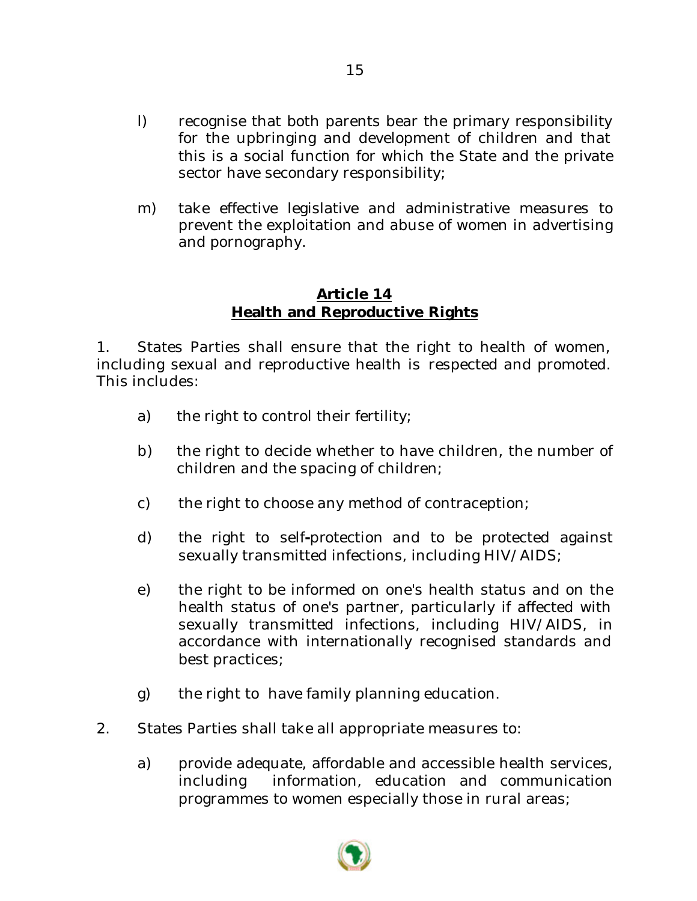- l) recognise that both parents bear the primary responsibility for the upbringing and development of children and that this is a social function for which the State and the private sector have secondary responsibility;
- m) take effective legislative and administrative measures to prevent the exploitation and abuse of women in advertising and pornography.

# **Article 14 Health and Reproductive Rights**

1. States Parties shall ensure that the right to health of women, including sexual and reproductive health is respected and promoted. This includes:

- a) the right to control their fertility;
- b) the right to decide whether to have children, the number of children and the spacing of children;
- c) the right to choose any method of contraception;
- d) the right to self**-**protection and to be protected against sexually transmitted infections, including HIV/AIDS;
- e) the right to be informed on one's health status and on the health status of one's partner, particularly if affected with sexually transmitted infections, including HIV/AIDS, in accordance with internationally recognised standards and best practices;
- g) the right to have family planning education.
- 2. States Parties shall take all appropriate measures to:
	- a) provide adequate, affordable and accessible health services, including information, education and communication programmes to women especially those in rural areas;



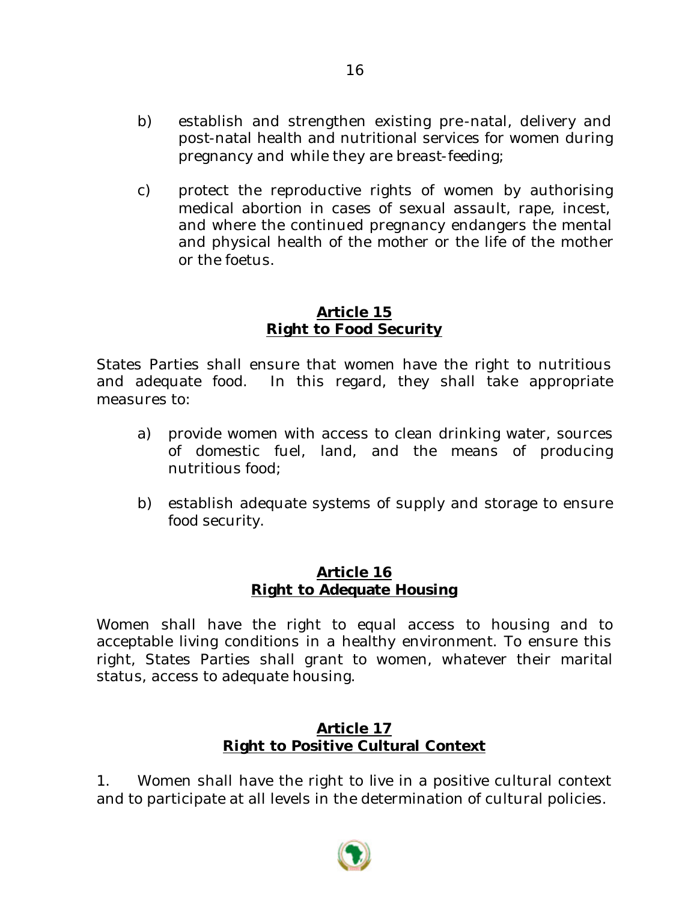- b) establish and strengthen existing pre-natal, delivery and post-natal health and nutritional services for women during pregnancy and while they are breast-feeding;
- c) protect the reproductive rights of women by authorising medical abortion in cases of sexual assault, rape, incest, and where the continued pregnancy endangers the mental and physical health of the mother or the life of the mother or the foetus.

#### **Article 15 Right to Food Security**

States Parties shall ensure that women have the right to nutritious and adequate food. In this regard, they shall take appropriate measures to:

- a) provide women with access to clean drinking water, sources of domestic fuel, land, and the means of producing nutritious food;
- b) establish adequate systems of supply and storage to ensure food security.

#### **Article 16 Right to Adequate Housing**

Women shall have the right to equal access to housing and to acceptable living conditions in a healthy environment. To ensure this right, States Parties shall grant to women, whatever their marital status, access to adequate housing.

### **Article 17 Right to Positive Cultural Context**

1. Women shall have the right to live in a positive cultural context and to participate at all levels in the determination of cultural policies.

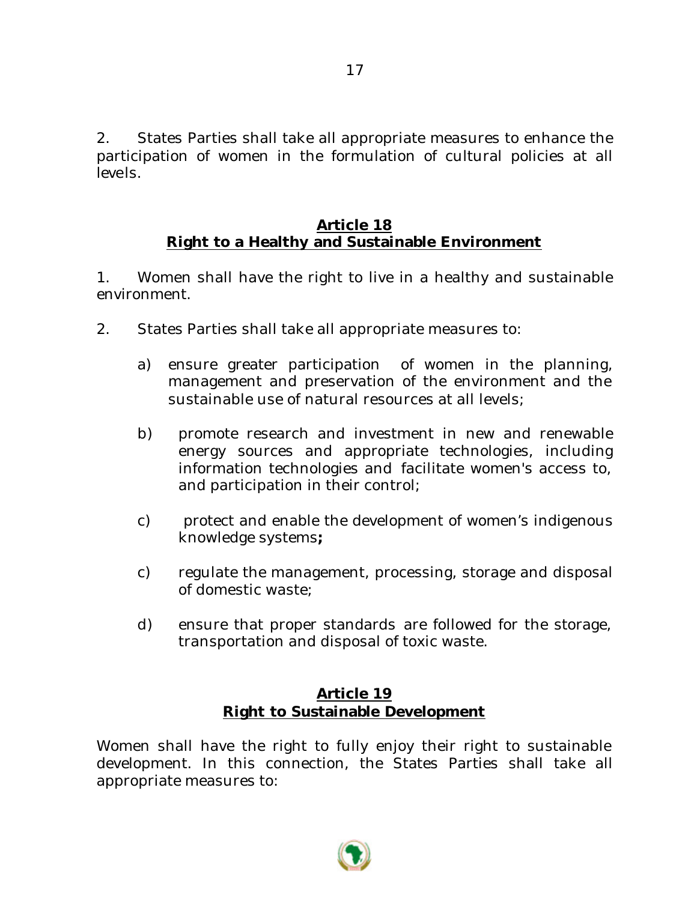2. States Parties shall take all appropriate measures to enhance the participation of women in the formulation of cultural policies at all levels.

### **Article 18 Right to a Healthy and Sustainable Environment**

1. Women shall have the right to live in a healthy and sustainable environment.

- 2. States Parties shall take all appropriate measures to:
	- a) ensure greater participation of women in the planning, management and preservation of the environment and the sustainable use of natural resources at all levels;
	- b) promote research and investment in new and renewable energy sources and appropriate technologies, including information technologies and facilitate women's access to, and participation in their control;
	- c) protect and enable the development of women's indigenous knowledge systems**;**
	- c) regulate the management, processing, storage and disposal of domestic waste;
	- d) ensure that proper standards are followed for the storage, transportation and disposal of toxic waste.

# **Article 19 Right to Sustainable Development**

Women shall have the right to fully enjoy their right to sustainable development. In this connection, the States Parties shall take all appropriate measures to:

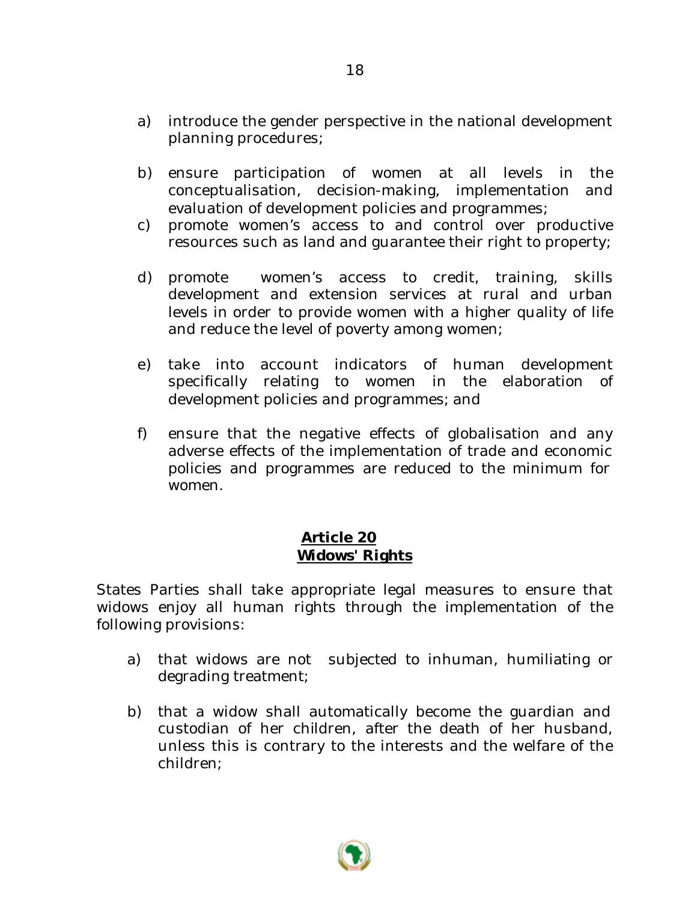- a) introduce the gender perspective in the national development planning procedures;
- b) ensure participation of women at all levels in the conceptualisation, decision-making, implementation and evaluation of development policies and programmes;
- c) promote women's access to and control over productive resources such as land and guarantee their right to property;
- d) promote women's access to credit, training, skills development and extension services at rural and urban levels in order to provide women with a higher quality of life and reduce the level of poverty among women;
- e) take into account indicators of human development specifically relating to women in the elaboration of development policies and programmes; and
- f) ensure that the negative effects of globalisation and any adverse effects of the implementation of trade and economic policies and programmes are reduced to the minimum for women.

# **Article 20 Widows' Rights**

States Parties shall take appropriate legal measures to ensure that widows enjoy all human rights through the implementation of the following provisions:

- a) that widows are not subjected to inhuman, humiliating or degrading treatment;
- b) that a widow shall automatically become the guardian and custodian of her children, after the death of her husband, unless this is contrary to the interests and the welfare of the children;

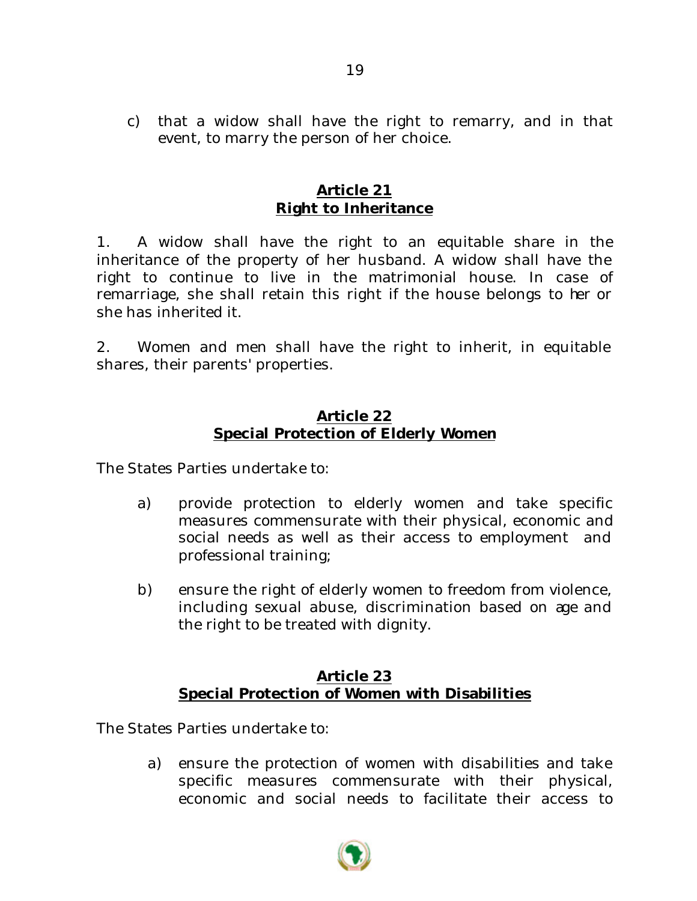c) that a widow shall have the right to remarry, and in that event, to marry the person of her choice.

### **Article 21 Right to Inheritance**

1. A widow shall have the right to an equitable share in the inheritance of the property of her husband. A widow shall have the right to continue to live in the matrimonial house. In case of remarriage, she shall retain this right if the house belongs to her or she has inherited it.

2. Women and men shall have the right to inherit, in equitable shares, their parents' properties.

#### **Article 22 Special Protection of Elderly Women**

The States Parties undertake to:

- a) provide protection to elderly women and take specific measures commensurate with their physical, economic and social needs as well as their access to employment and professional training;
- b) ensure the right of elderly women to freedom from violence, including sexual abuse, discrimination based on age and the right to be treated with dignity.

### **Article 23 Special Protection of Women with Disabilities**

The States Parties undertake to:

a) ensure the protection of women with disabilities and take specific measures commensurate with their physical, economic and social needs to facilitate their access to

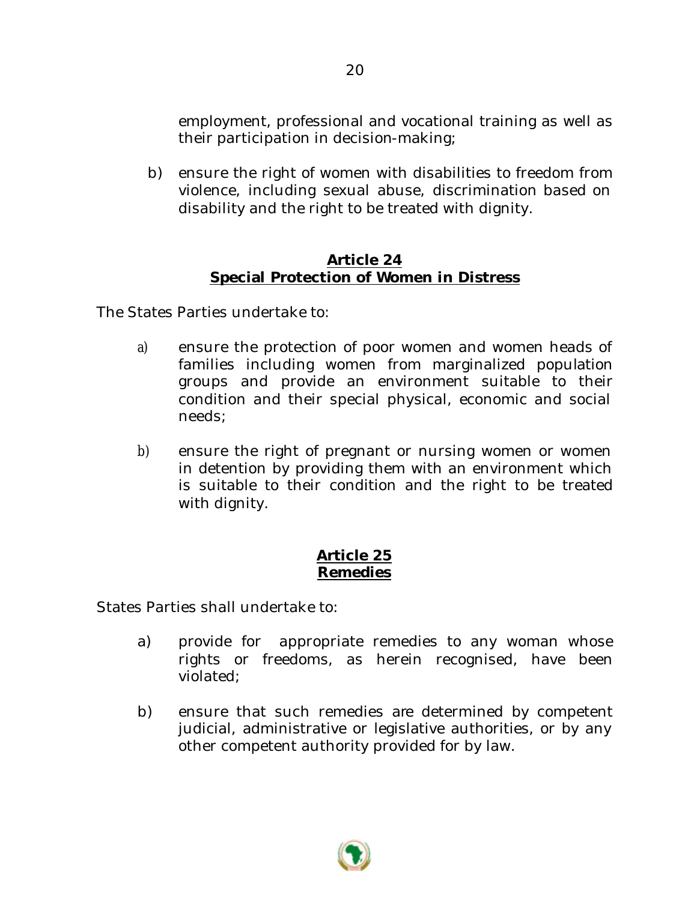employment, professional and vocational training as well as their participation in decision-making;

b) ensure the right of women with disabilities to freedom from violence, including sexual abuse, discrimination based on disability and the right to be treated with dignity.

# **Article 24 Special Protection of Women in Distress**

The States Parties undertake to:

- a) ensure the protection of poor women and women heads of families including women from marginalized population groups and provide an environment suitable to their condition and their special physical, economic and social needs;
- b) ensure the right of pregnant or nursing women or women in detention by providing them with an environment which is suitable to their condition and the right to be treated with dignity.

# **Article 25 Remedies**

States Parties shall undertake to:

- a) provide for appropriate remedies to any woman whose rights or freedoms, as herein recognised, have been violated;
- b) ensure that such remedies are determined by competent judicial, administrative or legislative authorities, or by any other competent authority provided for by law.

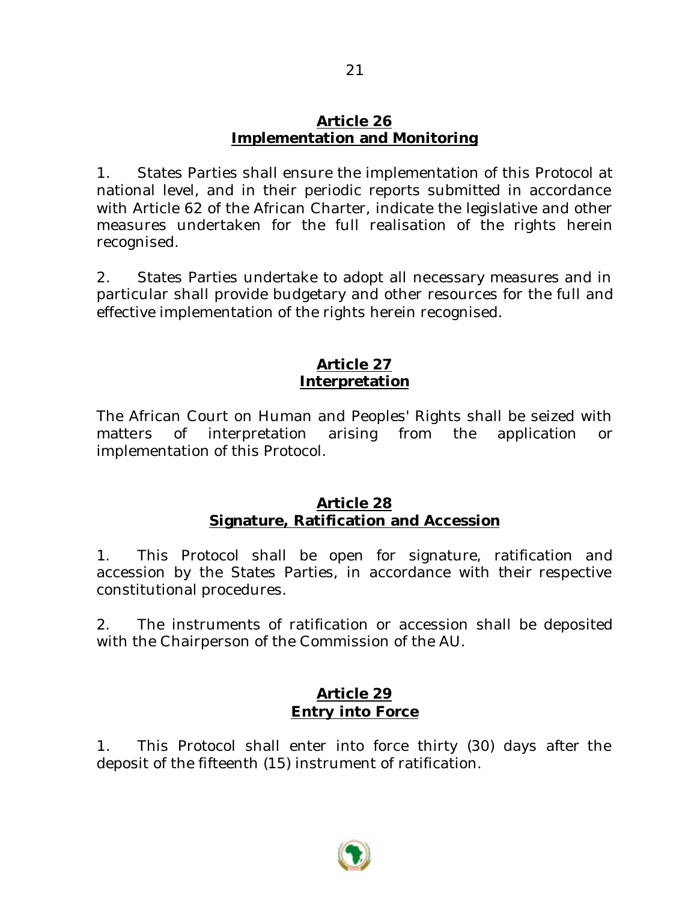#### **Article 26 Implementation and Monitoring**

1. States Parties shall ensure the implementation of this Protocol at national level, and in their periodic reports submitted in accordance with Article 62 of the African Charter, indicate the legislative and other measures undertaken for the full realisation of the rights herein recognised.

2. States Parties undertake to adopt all necessary measures and in particular shall provide budgetary and other resources for the full and effective implementation of the rights herein recognised.

# **Article 27 Interpretation**

The African Court on Human and Peoples' Rights shall be seized with matters of interpretation arising from the application or implementation of this Protocol.

### **Article 28 Signature, Ratification and Accession**

1. This Protocol shall be open for signature, ratification and accession by the States Parties, in accordance with their respective constitutional procedures.

2. The instruments of ratification or accession shall be deposited with the Chairperson of the Commission of the AU.

# **Article 29 Entry into Force**

1. This Protocol shall enter into force thirty (30) days after the deposit of the fifteenth (15) instrument of ratification.

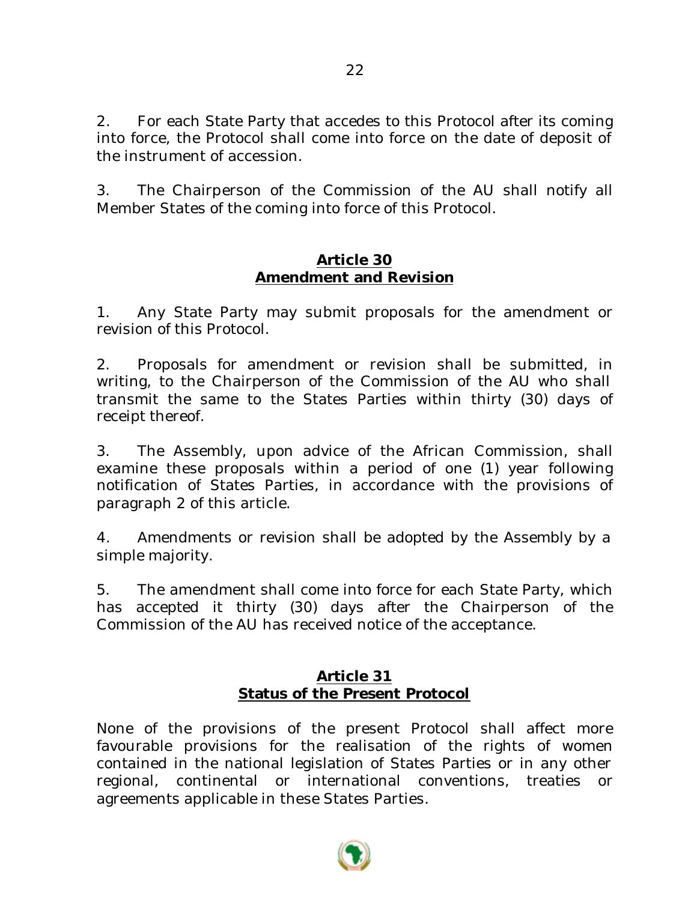2. For each State Party that accedes to this Protocol after its coming into force, the Protocol shall come into force on the date of deposit of the instrument of accession.

3. The Chairperson of the Commission of the AU shall notify all Member States of the coming into force of this Protocol.

### **Article 30 Amendment and Revision**

1. Any State Party may submit proposals for the amendment or revision of this Protocol.

2. Proposals for amendment or revision shall be submitted, in writing, to the Chairperson of the Commission of the AU who shall transmit the same to the States Parties within thirty (30) days of receipt thereof.

3. The Assembly, upon advice of the African Commission, shall examine these proposals within a period of one (1) year following notification of States Parties, in accordance with the provisions of paragraph 2 of this article.

4. Amendments or revision shall be adopted by the Assembly by a simple majority.

5. The amendment shall come into force for each State Party, which has accepted it thirty (30) days after the Chairperson of the Commission of the AU has received notice of the acceptance.

# **Article 31 Status of the Present Protocol**

None of the provisions of the present Protocol shall affect more favourable provisions for the realisation of the rights of women contained in the national legislation of States Parties or in any other regional, continental or international conventions, treaties or agreements applicable in these States Parties.

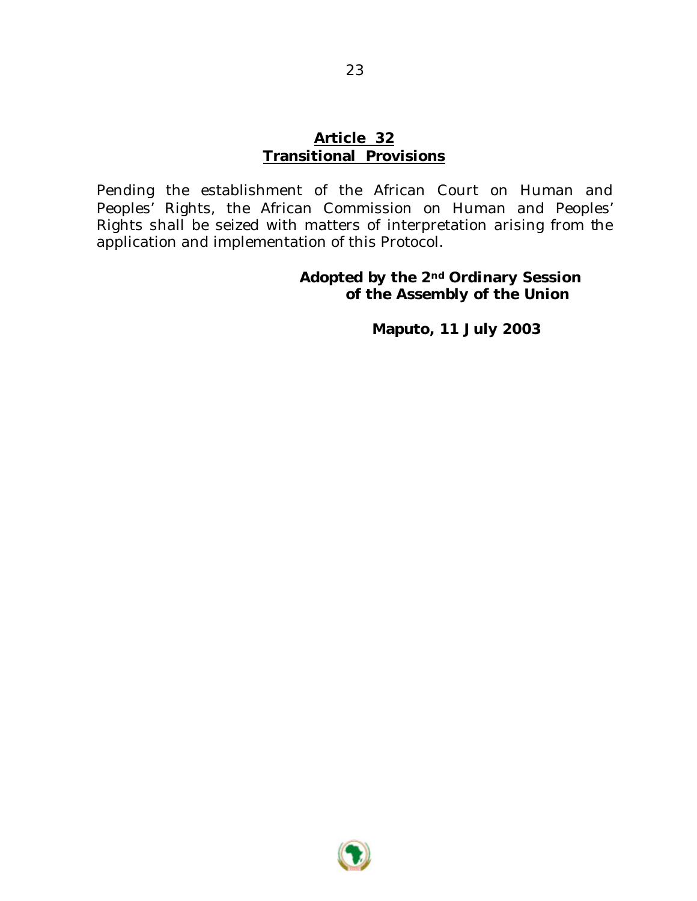#### **Article 32 Transitional Provisions**

Pending the establishment of the African Court on Human and Peoples' Rights, the African Commission on Human and Peoples' Rights shall be seized with matters of interpretation arising from the application and implementation of this Protocol.

#### **Adopted by the 2nd Ordinary Session of the Assembly of the Union**

**Maputo, 11 July 2003**

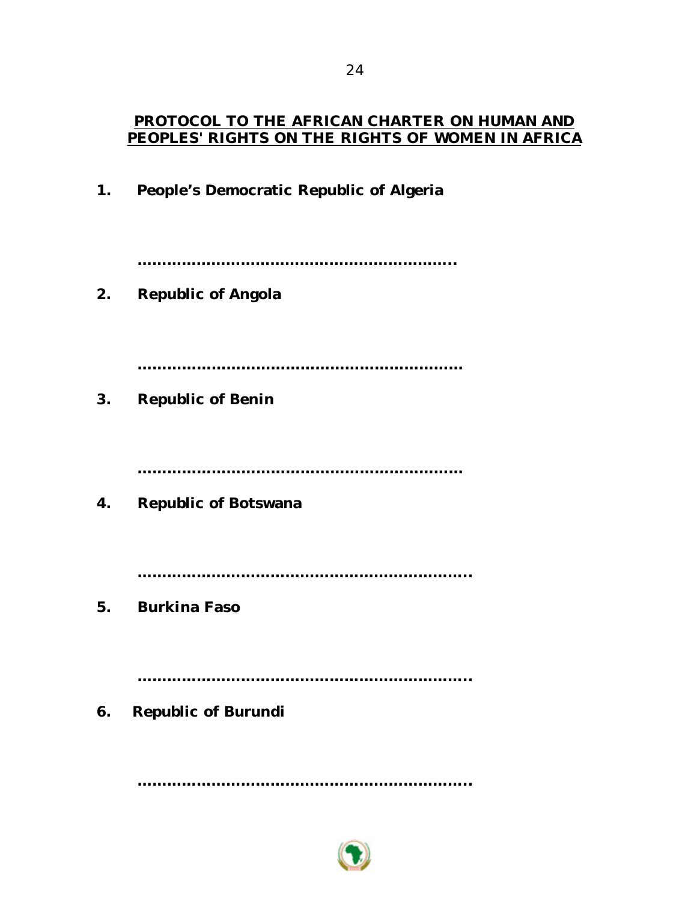### **PROTOCOL TO THE AFRICAN CHARTER ON HUMAN AND PEOPLES' RIGHTS ON THE RIGHTS OF WOMEN IN AFRICA**

**1. People's Democratic Republic of Algeria**

**………………………………………………………..**

**2. Republic of Angola**

**…………………………………………………………**

**3. Republic of Benin**

**…………………………………………………………**

**4. Republic of Botswana**

**…………………………………………………………..**

**5. Burkina Faso**

**…………………………………………………………..**

**6. Republic of Burundi**

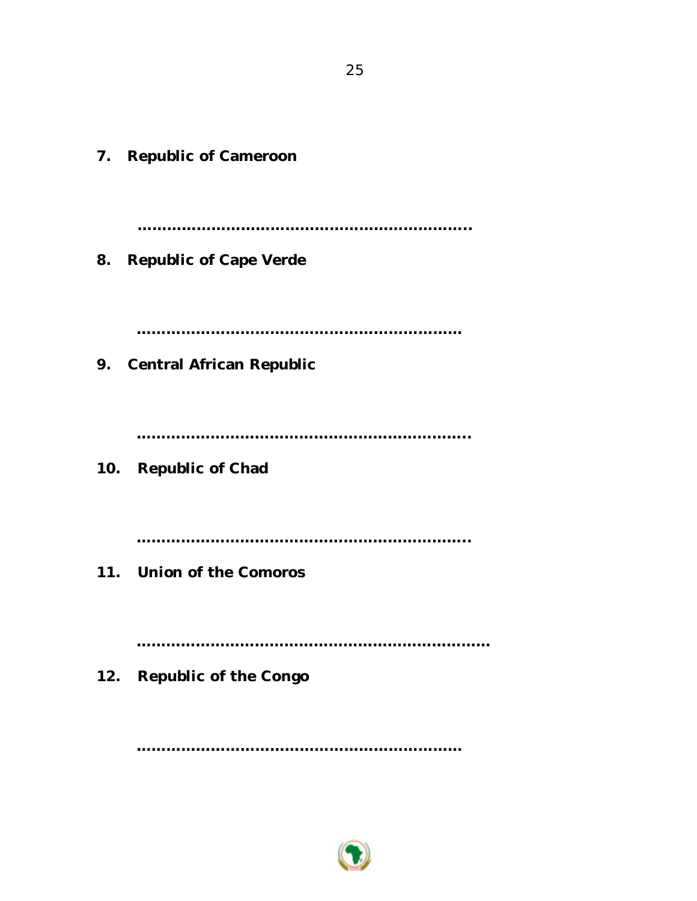**7. Republic of Cameroon ………………………………………………………….. 8. Republic of Cape Verde ………………………………………………………… 9. Central African Republic ………………………………………………………….. 10. Republic of Chad ………………………………………………………….. 11. Union of the Comoros ……………………………………………………………… 12. Republic of the Congo**

…………………………………………………………………………

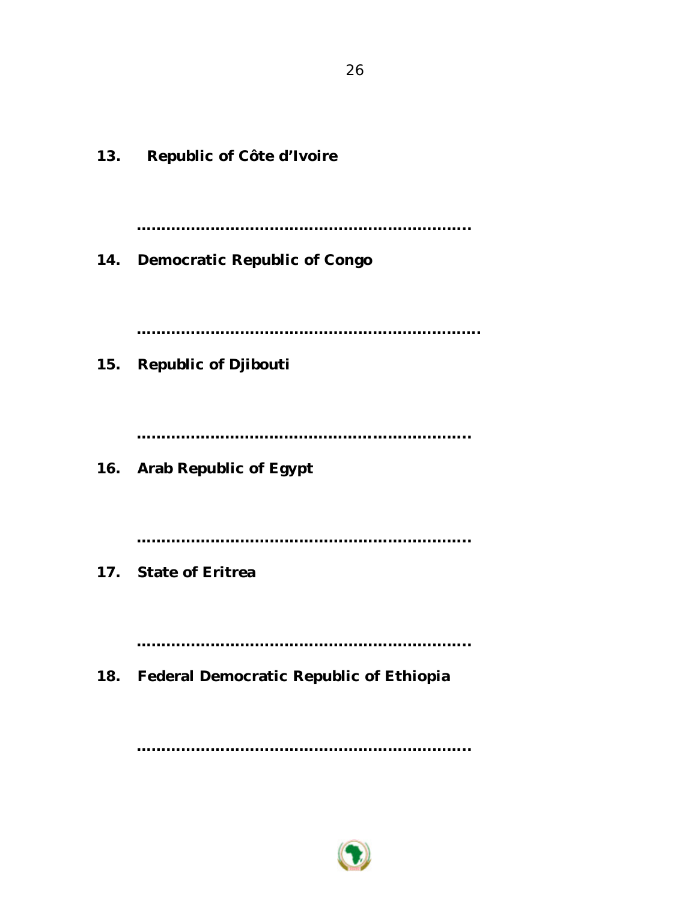**13. Republic of Côte d'Ivoire ………………………………………………………….. 14. Democratic Republic of Congo ……………………………………………………………. 15. Republic of Djibouti ………………………………………………………….. 16. Arab Republic of Egypt ………………………………………………………….. 17. State of Eritrea ………………………………………………………….. 18. Federal Democratic Republic of Ethiopia**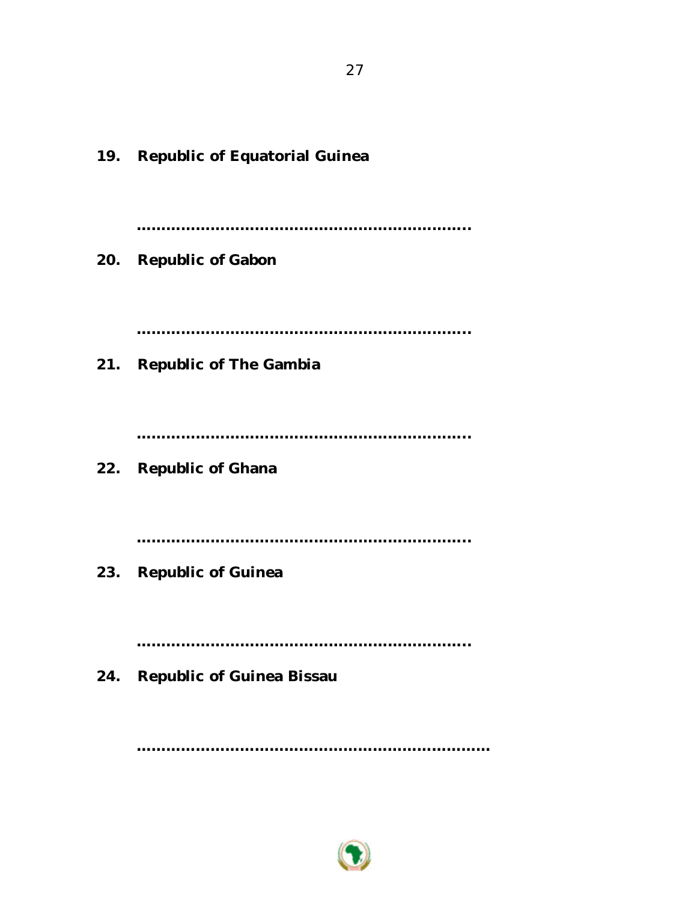**19. Republic of Equatorial Guinea ………………………………………………………….. 20. Republic of Gabon ………………………………………………………….. 21. Republic of The Gambia ………………………………………………………….. 22. Republic of Ghana ………………………………………………………….. 23. Republic of Guinea ………………………………………………………….. 24. Republic of Guinea Bissau**

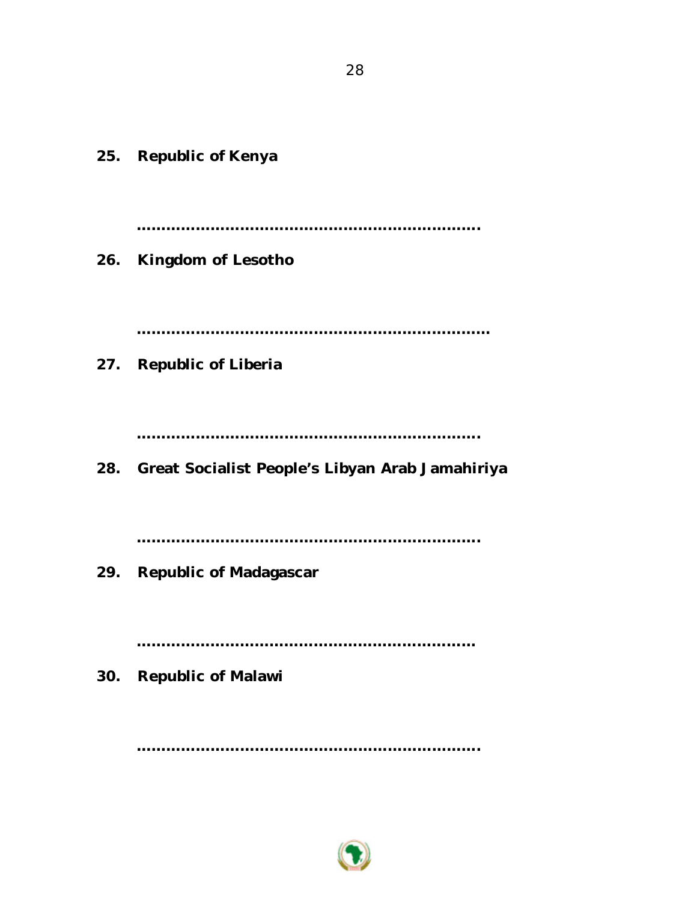**25. Republic of Kenya ……………………………………………………………. 26. Kingdom of Lesotho ……………………………………………………………… 27. Republic of Liberia ……………………………………………………………. ……………………………………………………………. 29. Republic of Madagascar …………………………………………………………… 30. Republic of Malawi**

**…………………………………………………………….**

**28. Great Socialist People's Libyan Arab Jamahiriya**

28

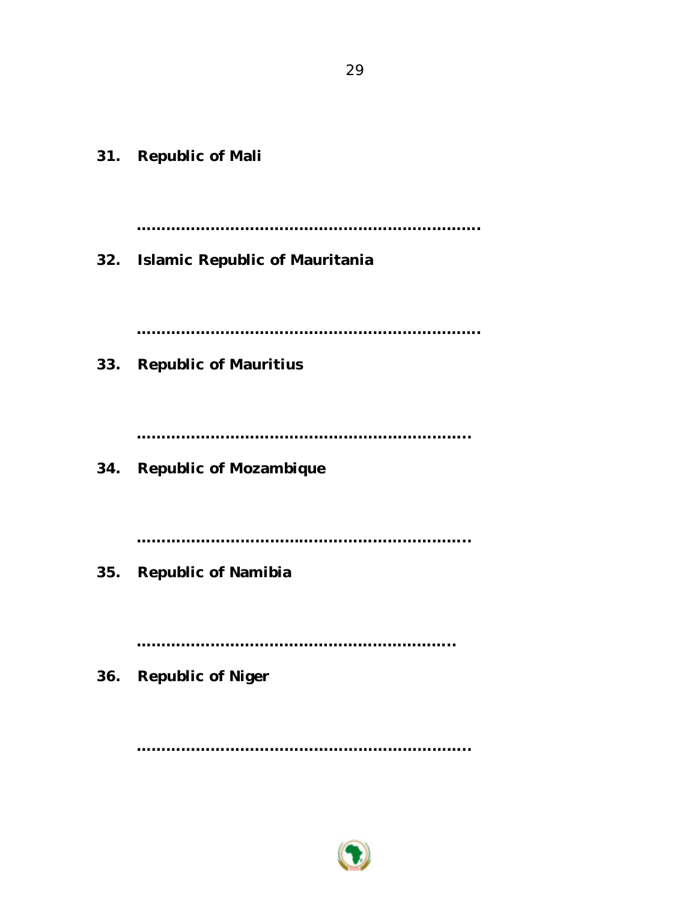**31. Republic of Mali ……………………………………………………………. 32. Islamic Republic of Mauritania ……………………………………………………………. 33. Republic of Mauritius ………………………………………………………….. 34. Republic of Mozambique ………………………………………………………….. 35. Republic of Namibia ……………………………………………………….. 36. Republic of Niger**

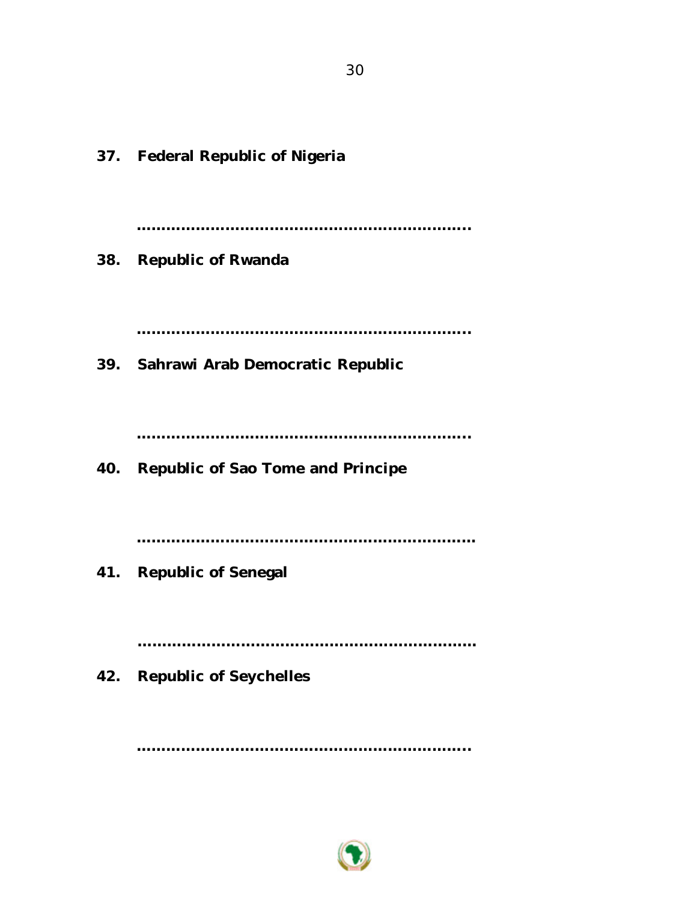**37. Federal Republic of Nigeria ………………………………………………………….. 38. Republic of Rwanda ………………………………………………………….. 39. Sahrawi Arab Democratic Republic ………………………………………………………….. 40. Republic of Sao Tome and Principe …………………………………………………………… 41. Republic of Senegal …………………………………………………………… 42. Republic of Seychelles**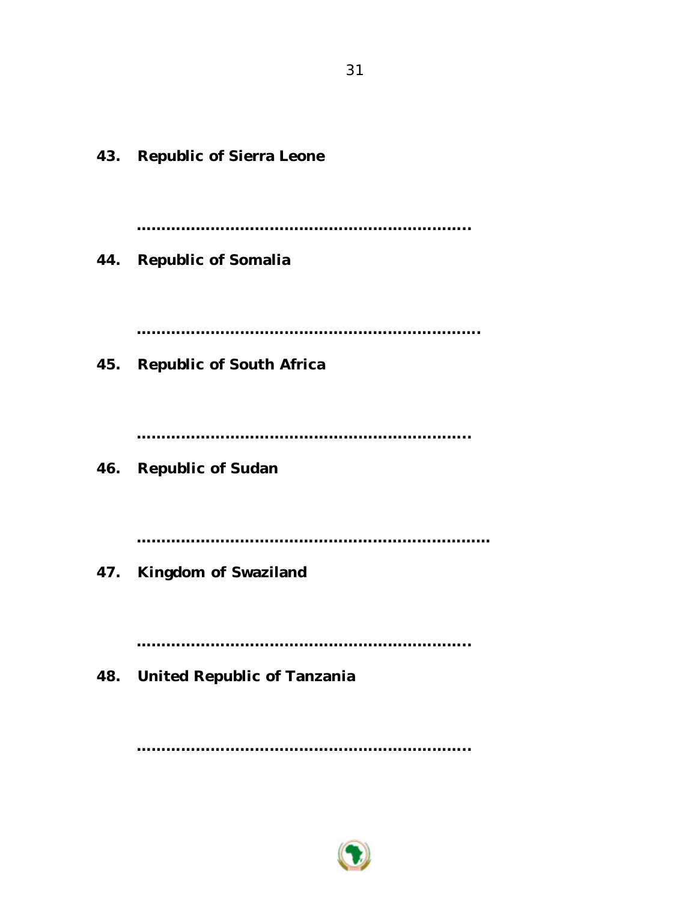**43. Republic of Sierra Leone ………………………………………………………….. 44. Republic of Somalia ……………………………………………………………. 45. Republic of South Africa ………………………………………………………….. 46. Republic of Sudan ……………………………………………………………… 47. Kingdom of Swaziland ………………………………………………………….. 48. United Republic of Tanzania**